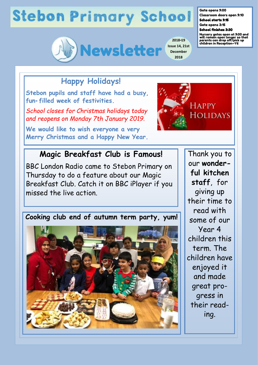# **Stebon Primary School**



**2018-19 Issue 14, 21st December 2018**

#### Gate opens 9:00

Classroom doors open 9:10 School starts 9:15

Gate opens 3:15

School finishes 3:30

Nursery gates open at 9:00 and will remain open longer so that parents can drop off/pick up children in Reception—Y6

### **Happy Holidays!**

**Stebon pupils and staff have had a busy, fun-filled week of festivities.** 

*School closes for Christmas holidays today and reopens on Monday 7th January 2019.*

**We would like to wish everyone a very Merry Christmas and a Happy New Year.**



#### **Magic Breakfast Club is Famous!**

BBC London Radio came to Stebon Primary on Thursday to do a feature about our Magic Breakfast Club. Catch it on BBC iPlayer if you missed the live action.

**Cooking club end of autumn term party, yum!**



Thank you to our **wonderful kitchen staff**, for giving up their time to read with some of our Year 4 children this term. The children have enjoyed it and made great progress in their reading.